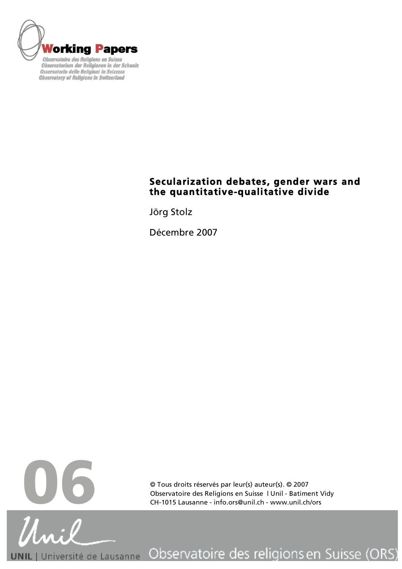

**Observatory of Religions in Switzerland** 

# **Secularization debates, gender wars and the quantitative-qualitative divide**

Jörg Stolz

Décembre 2007



© Tous droits réservés par leur(s) auteur(s). © 2007 Observatoire des Religions en Suisse | Unil - Batiment Vidy

Observatoire des religions en Suisse (ORS) | Université de Lausanne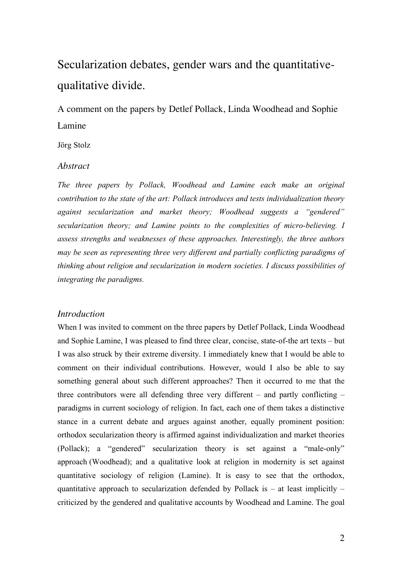# Secularization debates, gender wars and the quantitativequalitative divide.

A comment on the papers by Detlef Pollack, Linda Woodhead and Sophie Lamine

Jörg Stolz

# *Abstract*

*The three papers by Pollack, Woodhead and Lamine each make an original contribution to the state of the art: Pollack introduces and tests individualization theory against secularization and market theory; Woodhead suggests a "gendered" secularization theory; and Lamine points to the complexities of micro-believing. I assess strengths and weaknesses of these approaches. Interestingly, the three authors may be seen as representing three very different and partially conflicting paradigms of thinking about religion and secularization in modern societies. I discuss possibilities of integrating the paradigms.*

# *Introduction*

When I was invited to comment on the three papers by Detlef Pollack, Linda Woodhead and Sophie Lamine, I was pleased to find three clear, concise, state-of-the art texts – but I was also struck by their extreme diversity. I immediately knew that I would be able to comment on their individual contributions. However, would I also be able to say something general about such different approaches? Then it occurred to me that the three contributors were all defending three very different – and partly conflicting – paradigms in current sociology of religion. In fact, each one of them takes a distinctive stance in a current debate and argues against another, equally prominent position: orthodox secularization theory is affirmed against individualization and market theories (Pollack); a "gendered" secularization theory is set against a "male-only" approach (Woodhead); and a qualitative look at religion in modernity is set against quantitative sociology of religion (Lamine). It is easy to see that the orthodox, quantitative approach to secularization defended by Pollack is  $-$  at least implicitly  $$ criticized by the gendered and qualitative accounts by Woodhead and Lamine. The goal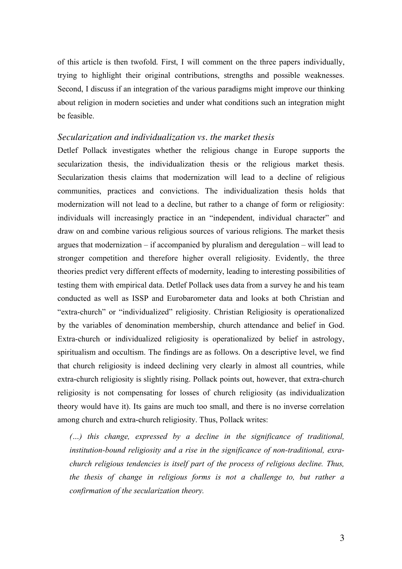of this article is then twofold. First, I will comment on the three papers individually, trying to highlight their original contributions, strengths and possible weaknesses. Second, I discuss if an integration of the various paradigms might improve our thinking about religion in modern societies and under what conditions such an integration might be feasible.

#### *Secularization and individualization vs. the market thesis*

Detlef Pollack investigates whether the religious change in Europe supports the secularization thesis, the individualization thesis or the religious market thesis. Secularization thesis claims that modernization will lead to a decline of religious communities, practices and convictions. The individualization thesis holds that modernization will not lead to a decline, but rather to a change of form or religiosity: individuals will increasingly practice in an "independent, individual character" and draw on and combine various religious sources of various religions. The market thesis argues that modernization – if accompanied by pluralism and deregulation – will lead to stronger competition and therefore higher overall religiosity. Evidently, the three theories predict very different effects of modernity, leading to interesting possibilities of testing them with empirical data. Detlef Pollack uses data from a survey he and his team conducted as well as ISSP and Eurobarometer data and looks at both Christian and "extra-church" or "individualized" religiosity. Christian Religiosity is operationalized by the variables of denomination membership, church attendance and belief in God. Extra-church or individualized religiosity is operationalized by belief in astrology, spiritualism and occultism. The findings are as follows. On a descriptive level, we find that church religiosity is indeed declining very clearly in almost all countries, while extra-church religiosity is slightly rising. Pollack points out, however, that extra-church religiosity is not compensating for losses of church religiosity (as individualization theory would have it). Its gains are much too small, and there is no inverse correlation among church and extra-church religiosity. Thus, Pollack writes:

*(…) this change, expressed by a decline in the significance of traditional, institution-bound religiosity and a rise in the significance of non-traditional, exrachurch religious tendencies is itself part of the process of religious decline. Thus, the thesis of change in religious forms is not a challenge to, but rather a confirmation of the secularization theory.*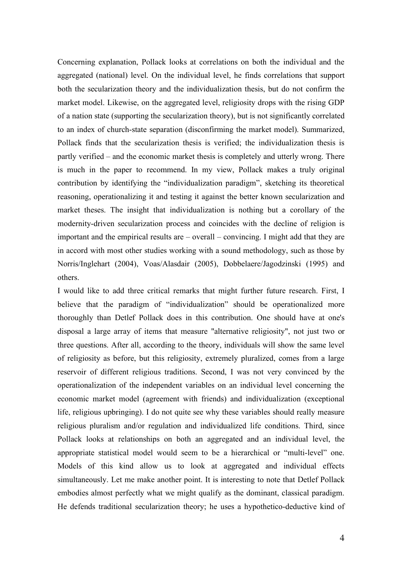Concerning explanation, Pollack looks at correlations on both the individual and the aggregated (national) level. On the individual level, he finds correlations that support both the secularization theory and the individualization thesis, but do not confirm the market model. Likewise, on the aggregated level, religiosity drops with the rising GDP of a nation state (supporting the secularization theory), but is not significantly correlated to an index of church-state separation (disconfirming the market model). Summarized, Pollack finds that the secularization thesis is verified; the individualization thesis is partly verified – and the economic market thesis is completely and utterly wrong. There is much in the paper to recommend. In my view, Pollack makes a truly original contribution by identifying the "individualization paradigm", sketching its theoretical reasoning, operationalizing it and testing it against the better known secularization and market theses. The insight that individualization is nothing but a corollary of the modernity-driven secularization process and coincides with the decline of religion is important and the empirical results are – overall – convincing. I might add that they are in accord with most other studies working with a sound methodology, such as those by Norris/Inglehart (2004), Voas/Alasdair (2005), Dobbelaere/Jagodzinski (1995) and others.

I would like to add three critical remarks that might further future research. First, I believe that the paradigm of "individualization" should be operationalized more thoroughly than Detlef Pollack does in this contribution. One should have at one's disposal a large array of items that measure "alternative religiosity", not just two or three questions. After all, according to the theory, individuals will show the same level of religiosity as before, but this religiosity, extremely pluralized, comes from a large reservoir of different religious traditions. Second, I was not very convinced by the operationalization of the independent variables on an individual level concerning the economic market model (agreement with friends) and individualization (exceptional life, religious upbringing). I do not quite see why these variables should really measure religious pluralism and/or regulation and individualized life conditions. Third, since Pollack looks at relationships on both an aggregated and an individual level, the appropriate statistical model would seem to be a hierarchical or "multi-level" one. Models of this kind allow us to look at aggregated and individual effects simultaneously. Let me make another point. It is interesting to note that Detlef Pollack embodies almost perfectly what we might qualify as the dominant, classical paradigm. He defends traditional secularization theory; he uses a hypothetico-deductive kind of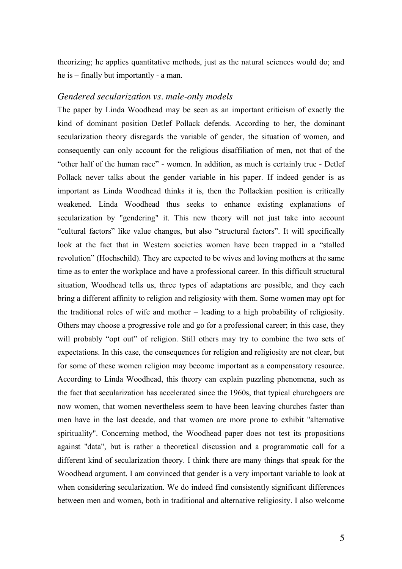theorizing; he applies quantitative methods, just as the natural sciences would do; and he is – finally but importantly - a man.

## *Gendered secularization vs. male-only models*

The paper by Linda Woodhead may be seen as an important criticism of exactly the kind of dominant position Detlef Pollack defends. According to her, the dominant secularization theory disregards the variable of gender, the situation of women, and consequently can only account for the religious disaffiliation of men, not that of the "other half of the human race" - women. In addition, as much is certainly true - Detlef Pollack never talks about the gender variable in his paper. If indeed gender is as important as Linda Woodhead thinks it is, then the Pollackian position is critically weakened. Linda Woodhead thus seeks to enhance existing explanations of secularization by "gendering" it. This new theory will not just take into account "cultural factors" like value changes, but also "structural factors". It will specifically look at the fact that in Western societies women have been trapped in a "stalled revolution" (Hochschild). They are expected to be wives and loving mothers at the same time as to enter the workplace and have a professional career. In this difficult structural situation, Woodhead tells us, three types of adaptations are possible, and they each bring a different affinity to religion and religiosity with them. Some women may opt for the traditional roles of wife and mother – leading to a high probability of religiosity. Others may choose a progressive role and go for a professional career; in this case, they will probably "opt out" of religion. Still others may try to combine the two sets of expectations. In this case, the consequences for religion and religiosity are not clear, but for some of these women religion may become important as a compensatory resource. According to Linda Woodhead, this theory can explain puzzling phenomena, such as the fact that secularization has accelerated since the 1960s, that typical churchgoers are now women, that women nevertheless seem to have been leaving churches faster than men have in the last decade, and that women are more prone to exhibit "alternative spirituality". Concerning method, the Woodhead paper does not test its propositions against "data", but is rather a theoretical discussion and a programmatic call for a different kind of secularization theory. I think there are many things that speak for the Woodhead argument. I am convinced that gender is a very important variable to look at when considering secularization. We do indeed find consistently significant differences between men and women, both in traditional and alternative religiosity. I also welcome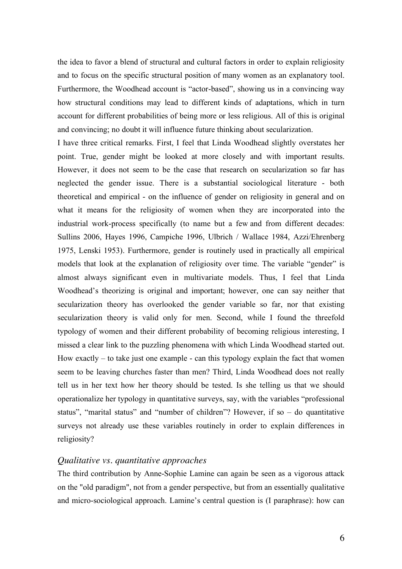the idea to favor a blend of structural and cultural factors in order to explain religiosity and to focus on the specific structural position of many women as an explanatory tool. Furthermore, the Woodhead account is "actor-based", showing us in a convincing way how structural conditions may lead to different kinds of adaptations, which in turn account for different probabilities of being more or less religious. All of this is original and convincing; no doubt it will influence future thinking about secularization.

I have three critical remarks. First, I feel that Linda Woodhead slightly overstates her point. True, gender might be looked at more closely and with important results. However, it does not seem to be the case that research on secularization so far has neglected the gender issue. There is a substantial sociological literature - both theoretical and empirical - on the influence of gender on religiosity in general and on what it means for the religiosity of women when they are incorporated into the industrial work-process specifically (to name but a few and from different decades: Sullins 2006, Hayes 1996, Campiche 1996, Ulbrich / Wallace 1984, Azzi/Ehrenberg 1975, Lenski 1953). Furthermore, gender is routinely used in practically all empirical models that look at the explanation of religiosity over time. The variable "gender" is almost always significant even in multivariate models. Thus, I feel that Linda Woodhead's theorizing is original and important; however, one can say neither that secularization theory has overlooked the gender variable so far, nor that existing secularization theory is valid only for men. Second, while I found the threefold typology of women and their different probability of becoming religious interesting, I missed a clear link to the puzzling phenomena with which Linda Woodhead started out. How exactly  $-$  to take just one example  $-$  can this typology explain the fact that women seem to be leaving churches faster than men? Third, Linda Woodhead does not really tell us in her text how her theory should be tested. Is she telling us that we should operationalize her typology in quantitative surveys, say, with the variables "professional status", "marital status" and "number of children"? However, if so – do quantitative surveys not already use these variables routinely in order to explain differences in religiosity?

# *Qualitative vs. quantitative approaches*

The third contribution by Anne-Sophie Lamine can again be seen as a vigorous attack on the "old paradigm", not from a gender perspective, but from an essentially qualitative and micro-sociological approach. Lamine's central question is (I paraphrase): how can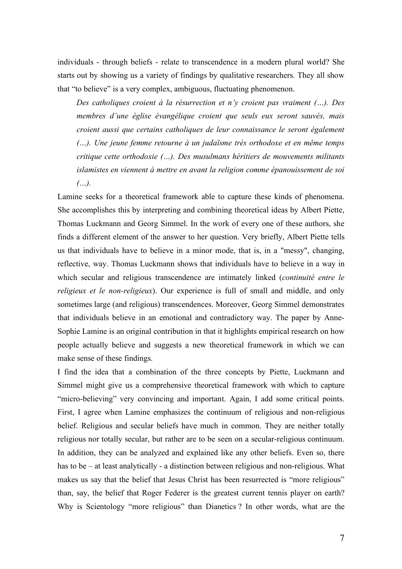individuals - through beliefs - relate to transcendence in a modern plural world? She starts out by showing us a variety of findings by qualitative researchers. They all show that "to believe" is a very complex, ambiguous, fluctuating phenomenon.

*Des catholiques croient à la résurrection et n'y croient pas vraiment (…). Des membres d'une église évangélique croient que seuls eux seront sauvés, mais croient aussi que certains catholiques de leur connaissance le seront également (…). Une jeune femme retourne à un judaïsme très orthodoxe et en même temps critique cette orthodoxie (…). Des musulmans héritiers de mouvements militants islamistes en viennent à mettre en avant la religion comme épanouissement de soi (…).*

Lamine seeks for a theoretical framework able to capture these kinds of phenomena. She accomplishes this by interpreting and combining theoretical ideas by Albert Piette, Thomas Luckmann and Georg Simmel. In the work of every one of these authors, she finds a different element of the answer to her question. Very briefly, Albert Piette tells us that individuals have to believe in a minor mode, that is, in a "messy", changing, reflective, way. Thomas Luckmann shows that individuals have to believe in a way in which secular and religious transcendence are intimately linked (*continuité entre le religieux et le non-religieux*). Our experience is full of small and middle, and only sometimes large (and religious) transcendences. Moreover, Georg Simmel demonstrates that individuals believe in an emotional and contradictory way. The paper by Anne-Sophie Lamine is an original contribution in that it highlights empirical research on how people actually believe and suggests a new theoretical framework in which we can make sense of these findings.

I find the idea that a combination of the three concepts by Piette, Luckmann and Simmel might give us a comprehensive theoretical framework with which to capture "micro-believing" very convincing and important. Again, I add some critical points. First, I agree when Lamine emphasizes the continuum of religious and non-religious belief. Religious and secular beliefs have much in common. They are neither totally religious nor totally secular, but rather are to be seen on a secular-religious continuum. In addition, they can be analyzed and explained like any other beliefs. Even so, there has to be – at least analytically - a distinction between religious and non-religious. What makes us say that the belief that Jesus Christ has been resurrected is "more religious" than, say, the belief that Roger Federer is the greatest current tennis player on earth? Why is Scientology "more religious" than Dianetics ? In other words, what are the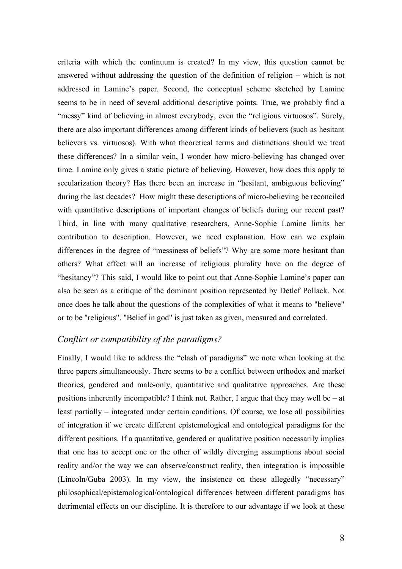criteria with which the continuum is created? In my view, this question cannot be answered without addressing the question of the definition of religion – which is not addressed in Lamine's paper. Second, the conceptual scheme sketched by Lamine seems to be in need of several additional descriptive points. True, we probably find a "messy" kind of believing in almost everybody, even the "religious virtuosos". Surely, there are also important differences among different kinds of believers (such as hesitant believers vs. virtuosos). With what theoretical terms and distinctions should we treat these differences? In a similar vein, I wonder how micro-believing has changed over time. Lamine only gives a static picture of believing. However, how does this apply to secularization theory? Has there been an increase in "hesitant, ambiguous believing" during the last decades? How might these descriptions of micro-believing be reconciled with quantitative descriptions of important changes of beliefs during our recent past? Third, in line with many qualitative researchers, Anne-Sophie Lamine limits her contribution to description. However, we need explanation. How can we explain differences in the degree of "messiness of beliefs"? Why are some more hesitant than others? What effect will an increase of religious plurality have on the degree of "hesitancy"? This said, I would like to point out that Anne-Sophie Lamine's paper can also be seen as a critique of the dominant position represented by Detlef Pollack. Not once does he talk about the questions of the complexities of what it means to "believe" or to be "religious". "Belief in god" is just taken as given, measured and correlated.

# *Conflict or compatibility of the paradigms?*

Finally, I would like to address the "clash of paradigms" we note when looking at the three papers simultaneously. There seems to be a conflict between orthodox and market theories, gendered and male-only, quantitative and qualitative approaches. Are these positions inherently incompatible? I think not. Rather, I argue that they may well be – at least partially – integrated under certain conditions. Of course, we lose all possibilities of integration if we create different epistemological and ontological paradigms for the different positions. If a quantitative, gendered or qualitative position necessarily implies that one has to accept one or the other of wildly diverging assumptions about social reality and/or the way we can observe/construct reality, then integration is impossible (Lincoln/Guba 2003). In my view, the insistence on these allegedly "necessary" philosophical/epistemological/ontological differences between different paradigms has detrimental effects on our discipline. It is therefore to our advantage if we look at these

8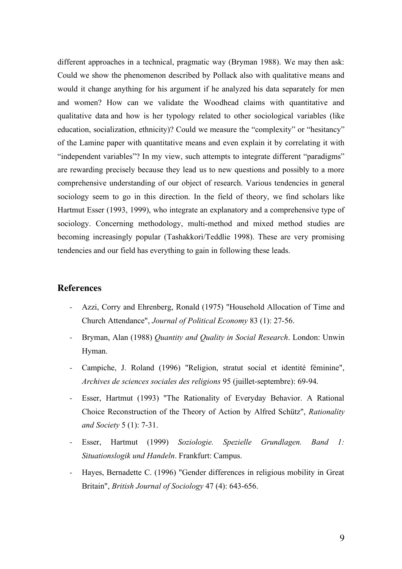different approaches in a technical, pragmatic way (Bryman 1988). We may then ask: Could we show the phenomenon described by Pollack also with qualitative means and would it change anything for his argument if he analyzed his data separately for men and women? How can we validate the Woodhead claims with quantitative and qualitative data and how is her typology related to other sociological variables (like education, socialization, ethnicity)? Could we measure the "complexity" or "hesitancy" of the Lamine paper with quantitative means and even explain it by correlating it with "independent variables"? In my view, such attempts to integrate different "paradigms" are rewarding precisely because they lead us to new questions and possibly to a more comprehensive understanding of our object of research. Various tendencies in general sociology seem to go in this direction. In the field of theory, we find scholars like Hartmut Esser (1993, 1999), who integrate an explanatory and a comprehensive type of sociology. Concerning methodology, multi-method and mixed method studies are becoming increasingly popular (Tashakkori/Teddlie 1998). These are very promising tendencies and our field has everything to gain in following these leads.

# **References**

- Azzi, Corry and Ehrenberg, Ronald (1975) "Household Allocation of Time and Church Attendance", *Journal of Political Economy* 83 (1): 27-56.
- Bryman, Alan (1988) *Quantity and Quality in Social Research*. London: Unwin Hyman.
- Campiche, J. Roland (1996) "Religion, stratut social et identité féminine", *Archives de sciences sociales des religions* 95 (juillet-septembre): 69-94.
- Esser, Hartmut (1993) "The Rationality of Everyday Behavior. A Rational Choice Reconstruction of the Theory of Action by Alfred Schütz", *Rationality and Society* 5 (1): 7-31.
- Esser, Hartmut (1999) *Soziologie. Spezielle Grundlagen. Band 1: Situationslogik und Handeln*. Frankfurt: Campus.
- Hayes, Bernadette C. (1996) "Gender differences in religious mobility in Great Britain", *British Journal of Sociology* 47 (4): 643-656.